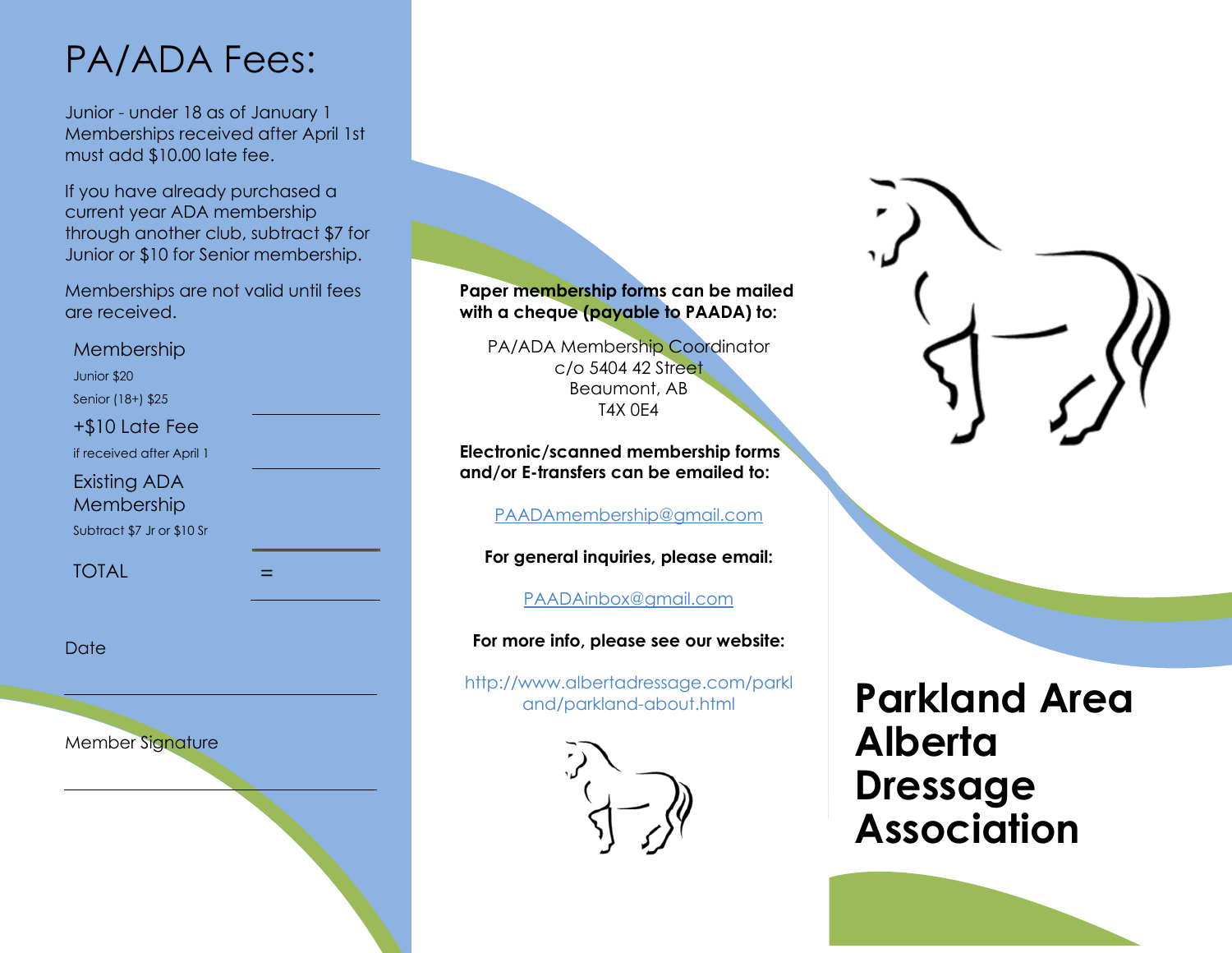## PA/ADA Fees:

Junior - under 18 as of January 1 Memberships received after April 1st must add \$10.00 late fee.

If you have already purchased a current year ADA membership through another club, subtract \$7 for Junior or \$10 for Senior membership.

Memberships are not valid until fees are received.

Membership Junior \$20

Senior (18+) \$25

+\$10 Late Fee

if received after April 1

Existing ADA

Membership

Subtract \$7 Jr or \$10 Sr

**TOTAL** 

Date

Member Signature

**Paper membership forms can be mailed with a cheque (payable to PAADA) to:** 

PA/ADA Membership Coordinator c/o 5404 42 Street Beaumont, AB T4X 0E4

**Electronic/scanned membership forms and/or E-transfers can be emailed to:** 

[PAADAmembership@gmail.com](mailto:PAADAmembership@gmail.com)

**For general inquiries, please email:**

PAADAinbox@gmail.com

**For more info, please see our website:**

http://www.albertadressage.com/parkl

and/parkland-about.html **Parkland Area Alberta Dressage Association**